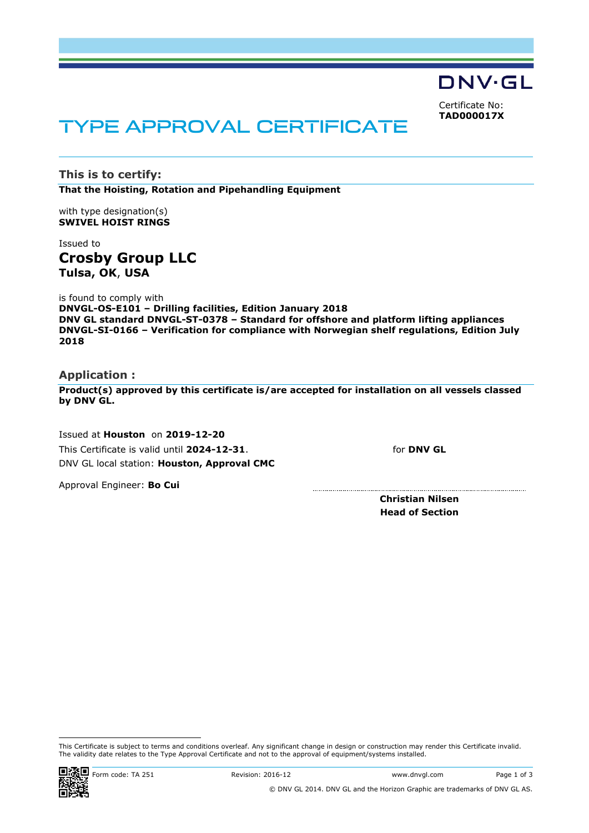DNV·GL

<span id="page-0-0"></span>Certificate No: **TAD000017X**

# TYPE APPROVAL CERTIFICATE

**This is to certify: That the Hoisting, Rotation and Pipehandling Equipment**

with type designation(s) **SWIVEL HOIST RINGS**

## Issued to **Crosby Group LLC Tulsa, OK**, **USA**

is found to comply with **DNVGL-OS-E101 – Drilling facilities, Edition January 2018 DNV GL standard DNVGL-ST-0378 – Standard for offshore and platform lifting appliances DNVGL-SI-0166 – Verification for compliance with Norwegian shelf regulations, Edition July 2018**

#### **Application :**

**Product(s) approved by this certificate is/are accepted for installation on all vessels classed by DNV GL.**

.................................

 Issued at **Houston** on **2019-12-20** This Certificate is valid until **2024-12-31**. DNV GL local station: **Houston, Approval CMC**

for **DNV GL**

Approval Engineer: **Bo Cui**

**Christian Nilsen Head of Section**

This Certificate is subject to terms and conditions overleaf. Any significant change in design or construction may render this Certificate invalid. The validity date relates to the Type Approval Certificate and not to the approval of equipment/systems installed.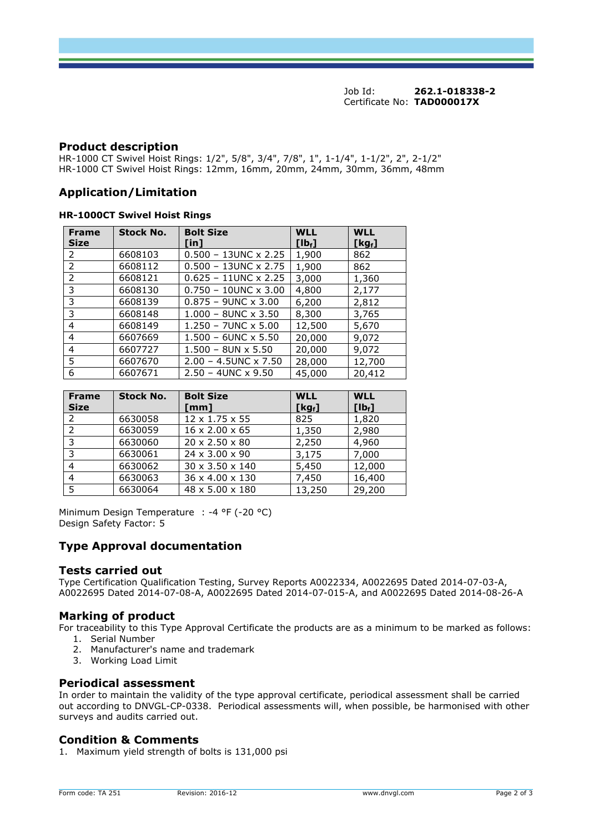Job Id: **262.1-018338-2**  Certificate No: **[TAD000017X](#page-0-0)**

#### **Product description**

HR-1000 CT Swivel Hoist Rings: 1/2", 5/8", 3/4", 7/8", 1", 1-1/4", 1-1/2", 2", 2-1/2" HR-1000 CT Swivel Hoist Rings: 12mm, 16mm, 20mm, 24mm, 30mm, 36mm, 48mm

### **Application/Limitation**

#### **HR-1000CT Swivel Hoist Rings**

| <b>Frame</b><br><b>Size</b> | <b>Stock No.</b> | <b>Bolt Size</b><br>[in]       | <b>WLL</b><br>$[1b_i]$ | <b>WLL</b><br>$[kg_f]$ |
|-----------------------------|------------------|--------------------------------|------------------------|------------------------|
| 2                           | 6608103          | $0.500 - 13$ UNC x 2.25        | 1,900                  | 862                    |
| $\overline{2}$              | 6608112          | $0.500 - 13$ UNC x 2.75        | 1,900                  | 862                    |
| 2                           | 6608121          | $0.625 - 11$ UNC x 2.25        | 3,000                  | 1,360                  |
| 3                           | 6608130          | $0.750 - 10$ UNC $\times$ 3.00 | 4,800                  | 2,177                  |
| 3                           | 6608139          | $0.875 - 9$ UNC $\times$ 3.00  | 6,200                  | 2,812                  |
| 3                           | 6608148          | $1.000 - 8$ UNC $\times$ 3.50  | 8,300                  | 3,765                  |
| 4                           | 6608149          | $1.250 - 7$ UNC $\times$ 5.00  | 12,500                 | 5,670                  |
| 4                           | 6607669          | $1.500 - 6$ UNC $\times$ 5.50  | 20,000                 | 9,072                  |
| 4                           | 6607727          | $1.500 - 8$ UN x 5.50          | 20,000                 | 9,072                  |
| 5                           | 6607670          | $2.00 - 4.5$ UNC x 7.50        | 28,000                 | 12,700                 |
| 6                           | 6607671          | $2.50 - 4$ UNC x 9.50          | 45,000                 | 20,412                 |

| <b>Frame</b><br><b>Size</b> | <b>Stock No.</b> | <b>Bolt Size</b><br>[mm]    | <b>WLL</b><br>$[Kg_f]$ | <b>WLL</b><br>$[1b_{f}]$ |
|-----------------------------|------------------|-----------------------------|------------------------|--------------------------|
| 2                           | 6630058          | $12 \times 1.75 \times 55$  | 825                    | 1,820                    |
| $\mathcal{P}$               | 6630059          | $16 \times 2.00 \times 65$  | 1,350                  | 2,980                    |
| 3                           | 6630060          | 20 x 2.50 x 80              | 2,250                  | 4,960                    |
| 3                           | 6630061          | 24 x 3.00 x 90              | 3,175                  | 7,000                    |
| 4                           | 6630062          | 30 x 3.50 x 140             | 5,450                  | 12,000                   |
| 4                           | 6630063          | 36 x 4.00 x 130             | 7,450                  | 16,400                   |
| 5                           | 6630064          | $48 \times 5.00 \times 180$ | 13,250                 | 29,200                   |

Minimum Design Temperature : -4 °F (-20 °C) Design Safety Factor: 5

### **Type Approval documentation**

#### **Tests carried out**

Type Certification Qualification Testing, Survey Reports A0022334, A0022695 Dated 2014-07-03-A, A0022695 Dated 2014-07-08-A, A0022695 Dated 2014-07-015-A, and A0022695 Dated 2014-08-26-A

### **Marking of product**

For traceability to this Type Approval Certificate the products are as a minimum to be marked as follows: 1. Serial Number

- 2. Manufacturer's name and trademark
- 3. Working Load Limit

#### **Periodical assessment**

In order to maintain the validity of the type approval certificate, periodical assessment shall be carried out according to DNVGL-CP-0338. Periodical assessments will, when possible, be harmonised with other surveys and audits carried out.

### **Condition & Comments**

1. Maximum yield strength of bolts is 131,000 psi